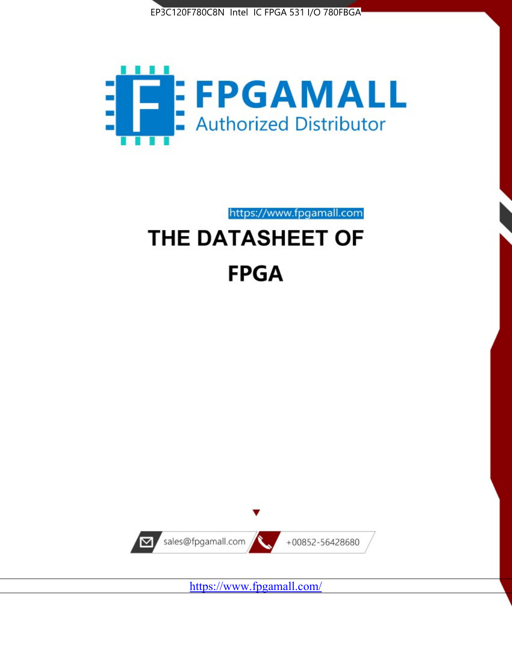



https://www.fpgamall.com

# THE DATASHEET OF **FPGA**



<https://www.fpgamall.com/>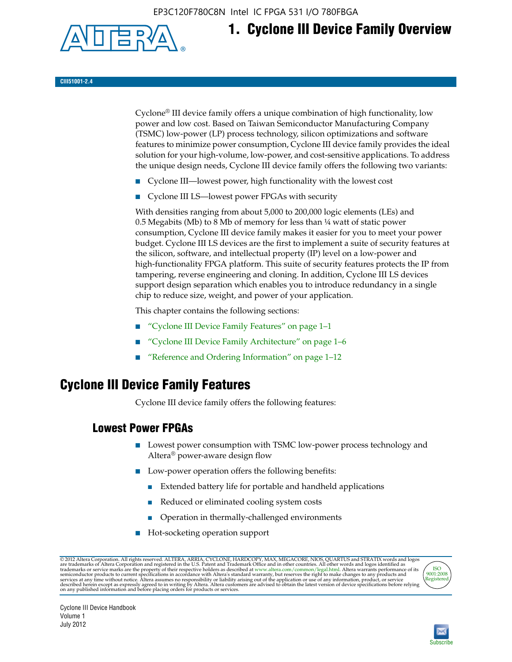EP3C120F780C8N Intel IC FPGA 531 I/O 780FBGA



# **1. Cyclone III Device Family Overview**

**CIII51001-2.4**

Cyclone® III device family offers a unique combination of high functionality, low power and low cost. Based on Taiwan Semiconductor Manufacturing Company (TSMC) low-power (LP) process technology, silicon optimizations and software features to minimize power consumption, Cyclone III device family provides the ideal solution for your high-volume, low-power, and cost-sensitive applications. To address the unique design needs, Cyclone III device family offers the following two variants:

- Cyclone III—lowest power, high functionality with the lowest cost
- Cyclone III LS—lowest power FPGAs with security

With densities ranging from about 5,000 to 200,000 logic elements (LEs) and 0.5 Megabits (Mb) to 8 Mb of memory for less than  $\frac{1}{4}$  watt of static power consumption, Cyclone III device family makes it easier for you to meet your power budget. Cyclone III LS devices are the first to implement a suite of security features at the silicon, software, and intellectual property (IP) level on a low-power and high-functionality FPGA platform. This suite of security features protects the IP from tampering, reverse engineering and cloning. In addition, Cyclone III LS devices support design separation which enables you to introduce redundancy in a single chip to reduce size, weight, and power of your application.

This chapter contains the following sections:

- "Cyclone III Device Family Features" on page 1–1
- "Cyclone III Device Family Architecture" on page 1–6
- "Reference and Ordering Information" on page 1–12

### **Cyclone III Device Family Features**

Cyclone III device family offers the following features:

#### **Lowest Power FPGAs**

- Lowest power consumption with TSMC low-power process technology and Altera® power-aware design flow
- Low-power operation offers the following benefits:
	- Extended battery life for portable and handheld applications
	- Reduced or eliminated cooling system costs
	- Operation in thermally-challenged environments
- Hot-socketing operation support

@ 2012 Altera Corporation. All rights reserved. ALTERA, ARRIA, CYCLONE, HARDCOPY, MAX, MEGACORE, NIOS, QUARTUS and STRATIX words and logos are trademarks of Altera Corporation and registered in the U.S. Patent and Trademar



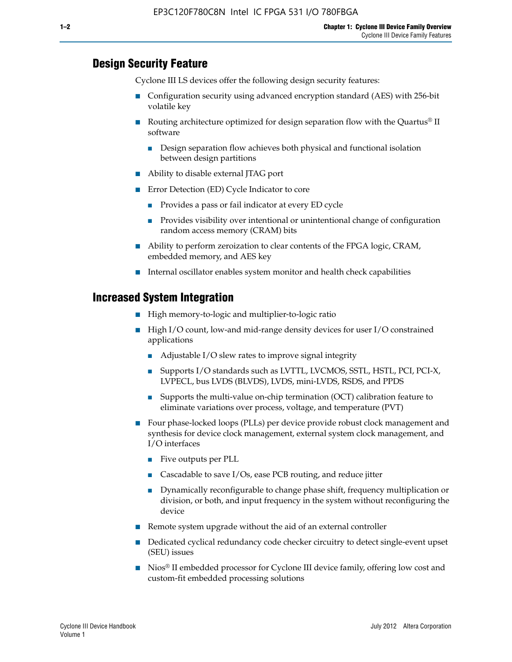#### **Design Security Feature**

Cyclone III LS devices offer the following design security features:

- Configuration security using advanced encryption standard (AES) with 256-bit volatile key
- **■** Routing architecture optimized for design separation flow with the Quartus<sup>®</sup> II software
	- Design separation flow achieves both physical and functional isolation between design partitions
- Ability to disable external JTAG port
- Error Detection (ED) Cycle Indicator to core
	- Provides a pass or fail indicator at every ED cycle
	- Provides visibility over intentional or unintentional change of configuration random access memory (CRAM) bits
- Ability to perform zeroization to clear contents of the FPGA logic, CRAM, embedded memory, and AES key
- Internal oscillator enables system monitor and health check capabilities

#### **Increased System Integration**

- High memory-to-logic and multiplier-to-logic ratio
- High I/O count, low-and mid-range density devices for user I/O constrained applications
	- Adjustable I/O slew rates to improve signal integrity
	- Supports I/O standards such as LVTTL, LVCMOS, SSTL, HSTL, PCI, PCI-X, LVPECL, bus LVDS (BLVDS), LVDS, mini-LVDS, RSDS, and PPDS
	- Supports the multi-value on-chip termination (OCT) calibration feature to eliminate variations over process, voltage, and temperature (PVT)
- Four phase-locked loops (PLLs) per device provide robust clock management and synthesis for device clock management, external system clock management, and I/O interfaces
	- Five outputs per PLL
	- Cascadable to save I/Os, ease PCB routing, and reduce jitter
	- Dynamically reconfigurable to change phase shift, frequency multiplication or division, or both, and input frequency in the system without reconfiguring the device
- Remote system upgrade without the aid of an external controller
- Dedicated cyclical redundancy code checker circuitry to detect single-event upset (SEU) issues
- Nios<sup>®</sup> II embedded processor for Cyclone III device family, offering low cost and custom-fit embedded processing solutions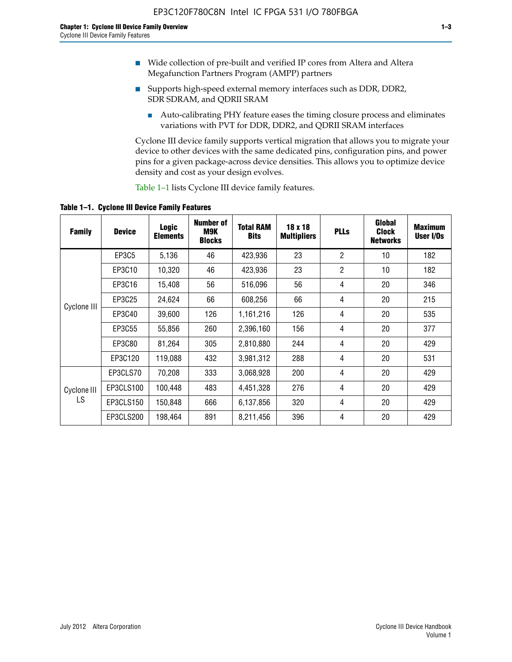- Wide collection of pre-built and verified IP cores from Altera and Altera Megafunction Partners Program (AMPP) partners
- Supports high-speed external memory interfaces such as DDR, DDR2, SDR SDRAM, and QDRII SRAM
	- Auto-calibrating PHY feature eases the timing closure process and eliminates variations with PVT for DDR, DDR2, and QDRII SRAM interfaces

Cyclone III device family supports vertical migration that allows you to migrate your device to other devices with the same dedicated pins, configuration pins, and power pins for a given package-across device densities. This allows you to optimize device density and cost as your design evolves.

Table 1–1 lists Cyclone III device family features.

**Table 1–1. Cyclone III Device Family Features**

| <b>Family</b>     | <b>Device</b> | <b>Logic</b><br><b>Elements</b> | Number of<br>M9K<br><b>Blocks</b> | <b>Total RAM</b><br><b>Bits</b> | 18 x 18<br><b>Multipliers</b> | <b>PLLs</b>    | Global<br><b>Clock</b><br><b>Networks</b> | <b>Maximum</b><br>User I/Os |
|-------------------|---------------|---------------------------------|-----------------------------------|---------------------------------|-------------------------------|----------------|-------------------------------------------|-----------------------------|
|                   | <b>EP3C5</b>  | 5,136                           | 46                                | 423,936                         | 23                            | $\overline{2}$ | 10                                        | 182                         |
|                   | EP3C10        | 10,320                          | 46                                | 423,936                         | 23                            | $\overline{2}$ | 10                                        | 182                         |
|                   | EP3C16        | 15,408                          | 56                                | 516,096                         | 56                            | 4              | 20                                        | 346                         |
|                   | EP3C25        | 24,624                          | 66                                | 608,256                         | 66                            | 4              | 20                                        | 215                         |
| Cyclone III       | EP3C40        | 39,600                          | 126                               | 1,161,216                       | 126                           | 4              | 20                                        | 535                         |
|                   | EP3C55        | 55,856                          | 260                               | 2,396,160                       | 156                           | 4              | 20                                        | 377                         |
|                   | EP3C80        | 81,264                          | 305                               | 2,810,880                       | 244                           | 4              | 20                                        | 429                         |
|                   | EP3C120       | 119,088                         | 432                               | 3,981,312                       | 288                           | 4              | 20                                        | 531                         |
|                   | EP3CLS70      | 70,208                          | 333                               | 3,068,928                       | 200                           | 4              | 20                                        | 429                         |
| Cyclone III<br>LS | EP3CLS100     | 100,448                         | 483                               | 4,451,328                       | 276                           | 4              | 20                                        | 429                         |
|                   | EP3CLS150     | 150,848                         | 666                               | 6,137,856                       | 320                           | 4              | 20                                        | 429                         |
|                   | EP3CLS200     | 198,464                         | 891                               | 8,211,456                       | 396                           | 4              | 20                                        | 429                         |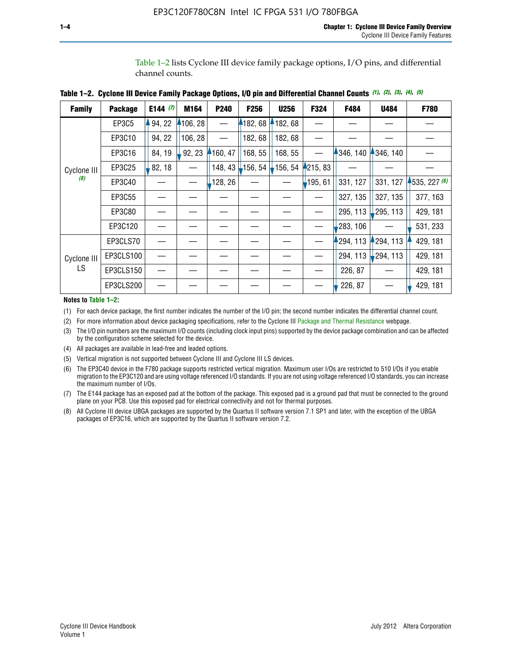Table 1–2 lists Cyclone III device family package options, I/O pins, and differential channel counts.

| <b>Family</b> | <b>Package</b> | E144 $(7)$ | M164     | <b>P240</b> | F256    | <b>U256</b>           | F324       | F484     | <b>U484</b>            | F780           |
|---------------|----------------|------------|----------|-------------|---------|-----------------------|------------|----------|------------------------|----------------|
|               | EP3C5          | 94, 22     | 4106, 28 |             | 4182,68 | 182, 68               |            |          |                        |                |
|               | EP3C10         | 94, 22     | 106, 28  |             | 182, 68 | 182, 68               |            |          |                        |                |
|               | EP3C16         | 84, 19     | 92, 23   | 160, 47     | 168, 55 | 168, 55               |            | 346, 140 | 4346, 140              |                |
| Cyclone III   | EP3C25         | 82, 18     |          | 148, 43     | 156, 54 | $\frac{1}{2}$ 156, 54 | 4215, 83   |          |                        |                |
| (8)           | EP3C40         |            |          | ,128, 26    |         |                       | $-195, 61$ | 331, 127 | 331, 127               | $-535, 227(6)$ |
|               | EP3C55         |            |          |             |         |                       |            | 327, 135 | 327, 135               | 377, 163       |
|               | EP3C80         |            |          |             |         |                       |            | 295, 113 | 295, 113               | 429, 181       |
|               | EP3C120        |            |          |             |         |                       |            | 283, 106 |                        | 531, 233       |
|               | EP3CLS70       |            |          |             |         |                       |            | 294, 113 | 294, 113               | 429, 181       |
| Cyclone III   | EP3CLS100      |            |          |             |         |                       |            | 294, 113 | $\frac{1}{2}$ 294, 113 | 429, 181       |
| LS.           | EP3CLS150      |            |          |             |         |                       |            | 226, 87  |                        | 429, 181       |
|               | EP3CLS200      |            |          |             |         |                       |            | 226, 87  |                        | 429, 181       |

**Table 1–2. Cyclone III Device Family Package Options, I/O pin and Differential Channel Counts** *(1)***,** *(2)***,** *(3)***,** *(4)***,** *(5)*

**Notes to Table 1–2:**

(1) For each device package, the first number indicates the number of the I/O pin; the second number indicates the differential channel count.

(2) For more information about device packaging specifications, refer to the Cyclone III [Package and Thermal Resistance](http://www.altera.com/support/devices/packaging/specifications/pkg-pin/dev-package-listing.jsp?device=Cyclone_III) webpage.

(3) The I/O pin numbers are the maximum I/O counts (including clock input pins) supported by the device package combination and can be affected by the configuration scheme selected for the device.

(4) All packages are available in lead-free and leaded options.

(5) Vertical migration is not supported between Cyclone III and Cyclone III LS devices.

(6) The EP3C40 device in the F780 package supports restricted vertical migration. Maximum user I/Os are restricted to 510 I/Os if you enable migration to the EP3C120 and are using voltage referenced I/O standards. If you are not using voltage referenced I/O standards, you can increase the maximum number of I/Os.

(7) The E144 package has an exposed pad at the bottom of the package. This exposed pad is a ground pad that must be connected to the ground plane on your PCB. Use this exposed pad for electrical connectivity and not for thermal purposes.

(8) All Cyclone III device UBGA packages are supported by the Quartus II software version 7.1 SP1 and later, with the exception of the UBGA packages of EP3C16, which are supported by the Quartus II software version 7.2.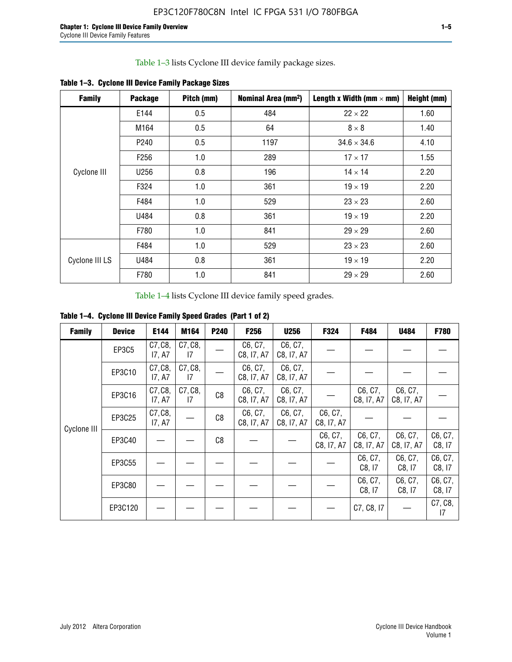Table 1–3 lists Cyclone III device family package sizes.

| <b>Family</b>  | <b>Package</b>   | Pitch (mm) | Nominal Area (mm <sup>2</sup> ) | Length x Width (mm $\times$ mm) | Height (mm) |
|----------------|------------------|------------|---------------------------------|---------------------------------|-------------|
|                | E144             | 0.5        | 484                             | $22 \times 22$                  | 1.60        |
|                | M164             | 0.5        | 64                              | $8 \times 8$                    | 1.40        |
|                | P <sub>240</sub> | 0.5        | 1197                            | $34.6 \times 34.6$              | 4.10        |
|                | F <sub>256</sub> | 1.0        | 289                             | $17 \times 17$                  | 1.55        |
| Cyclone III    | U256             | 0.8        | 196                             | $14 \times 14$                  | 2.20        |
|                | F324             | 1.0        | 361                             | $19 \times 19$                  | 2.20        |
|                | F484             | 1.0        | 529                             | $23 \times 23$                  | 2.60        |
|                | U484             | 0.8        | 361                             | $19 \times 19$                  | 2.20        |
|                | F780             | 1.0        | 841                             | $29 \times 29$                  | 2.60        |
|                | F484             | 1.0        | 529                             | $23 \times 23$                  | 2.60        |
| Cyclone III LS | U484             | 0.8        | 361                             | $19 \times 19$                  | 2.20        |
|                | F780             | 1.0        | 841                             | $29 \times 29$                  | 2.60        |

**Table 1–3. Cyclone III Device Family Package Sizes**

Table 1–4 lists Cyclone III device family speed grades.

**Table 1–4. Cyclone III Device Family Speed Grades (Part 1 of 2)**

| <b>Family</b> | <b>Device</b> | E144              | M164          | <b>P240</b> | <b>F256</b>           | <b>U256</b>           | F324                  | F484                  | U484                  | <b>F780</b>       |
|---------------|---------------|-------------------|---------------|-------------|-----------------------|-----------------------|-----------------------|-----------------------|-----------------------|-------------------|
|               | EP3C5         | C7, C8,<br>17, A7 | C7, C8,<br>17 |             | C6, C7,<br>C8, I7, A7 | C6, C7,<br>C8, I7, A7 |                       |                       |                       |                   |
|               | EP3C10        | C7, C8,<br>17, A7 | C7, C8,<br>17 |             | C6, C7,<br>C8, I7, A7 | C6, C7,<br>C8, I7, A7 |                       |                       |                       |                   |
|               | EP3C16        | C7, C8,<br>17, A7 | C7, C8,<br>17 | C8          | C6, C7,<br>C8, I7, A7 | C6, C7,<br>C8, I7, A7 |                       | C6, C7,<br>C8, I7, A7 | C6, C7,<br>C8, I7, A7 |                   |
| Cyclone III   | EP3C25        | C7, C8,<br>17, A7 |               | C8          | C6, C7,<br>C8, I7, A7 | C6, C7,<br>C8, I7, A7 | C6, C7,<br>C8, I7, A7 |                       |                       |                   |
|               | EP3C40        |                   |               | C8          |                       |                       | C6, C7,<br>C8, I7, A7 | C6, C7,<br>C8, I7, A7 | C6, C7,<br>C8, I7, A7 | C6, C7,<br>C8, 17 |
|               | EP3C55        |                   |               |             |                       |                       |                       | C6, C7,<br>C8, I7     | C6, C7,<br>C8, 17     | C6, C7,<br>C8, 17 |
|               | EP3C80        |                   |               |             |                       |                       |                       | C6, C7,<br>C8, 17     | C6, C7,<br>C8, 17     | C6, C7,<br>C8, 17 |
|               | EP3C120       |                   |               |             |                       |                       |                       | C7, C8, I7            |                       | C7, C8,<br>17     |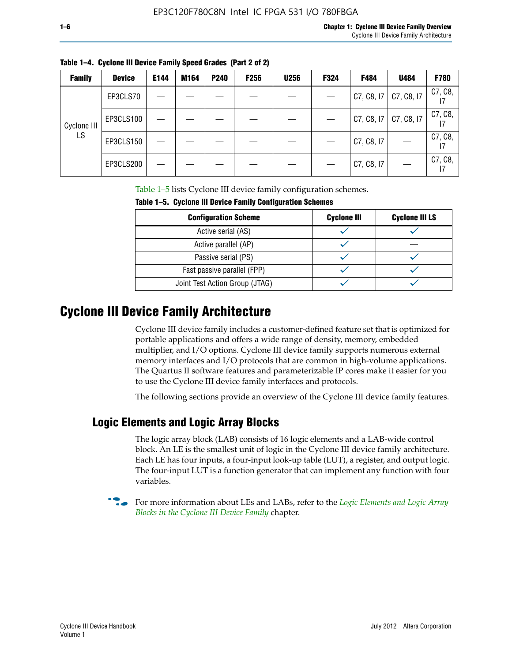| $\mathcal{L}^{\text{max}}_{\text{max}}$ and $\mathcal{L}^{\text{max}}_{\text{max}}$ and $\mathcal{L}^{\text{max}}_{\text{max}}$ |  |  |
|---------------------------------------------------------------------------------------------------------------------------------|--|--|
|                                                                                                                                 |  |  |
|                                                                                                                                 |  |  |

| <b>Family</b> | <b>Device</b> | E144 | M164 | <b>P240</b> | <b>F256</b> | <b>U256</b> | F324 | F484                  | U484       | F780          |
|---------------|---------------|------|------|-------------|-------------|-------------|------|-----------------------|------------|---------------|
| Cyclone III   | EP3CLS70      |      |      |             |             |             |      | C7, C8, I7            | C7, C8, I7 | C7, C8,       |
|               | EP3CLS100     |      |      |             |             |             |      | C7, C8, I7 C7, C8, I7 |            | C7, C8,       |
| LS            | EP3CLS150     |      |      |             |             |             |      | C7, C8, I7            |            | C7, C8,<br>17 |
|               | EP3CLS200     |      |      |             |             |             |      | C7, C8, I7            |            | C7, C8,<br>17 |

**Table 1–4. Cyclone III Device Family Speed Grades (Part 2 of 2)**

Table 1–5 lists Cyclone III device family configuration schemes.

| <b>IQUIE 1-3. CYCLUILE III DEVICE FAILIIV CUILILUILATION SCIIENIES</b> |                    |                       |  |  |  |
|------------------------------------------------------------------------|--------------------|-----------------------|--|--|--|
| <b>Configuration Scheme</b>                                            | <b>Cyclone III</b> | <b>Cyclone III LS</b> |  |  |  |
| Active serial (AS)                                                     |                    |                       |  |  |  |
| Active parallel (AP)                                                   |                    |                       |  |  |  |
| Passive serial (PS)                                                    |                    |                       |  |  |  |
| Fast passive parallel (FPP)                                            |                    |                       |  |  |  |
| Joint Test Action Group (JTAG)                                         |                    |                       |  |  |  |

**Table 1–5. Cyclone III Device Family Configuration Schemes**

## **Cyclone III Device Family Architecture**

Cyclone III device family includes a customer-defined feature set that is optimized for portable applications and offers a wide range of density, memory, embedded multiplier, and I/O options. Cyclone III device family supports numerous external memory interfaces and I/O protocols that are common in high-volume applications. The Quartus II software features and parameterizable IP cores make it easier for you to use the Cyclone III device family interfaces and protocols.

The following sections provide an overview of the Cyclone III device family features.

#### **Logic Elements and Logic Array Blocks**

The logic array block (LAB) consists of 16 logic elements and a LAB-wide control block. An LE is the smallest unit of logic in the Cyclone III device family architecture. Each LE has four inputs, a four-input look-up table (LUT), a register, and output logic. The four-input LUT is a function generator that can implement any function with four variables.

f For more information about LEs and LABs, refer to the *[Logic Elements and Logic Array](http://www.altera.com/literature/hb/cyc3/cyc3_ciii51002.pdf)  [Blocks in the Cyclone III Device Family](http://www.altera.com/literature/hb/cyc3/cyc3_ciii51002.pdf)* chapter.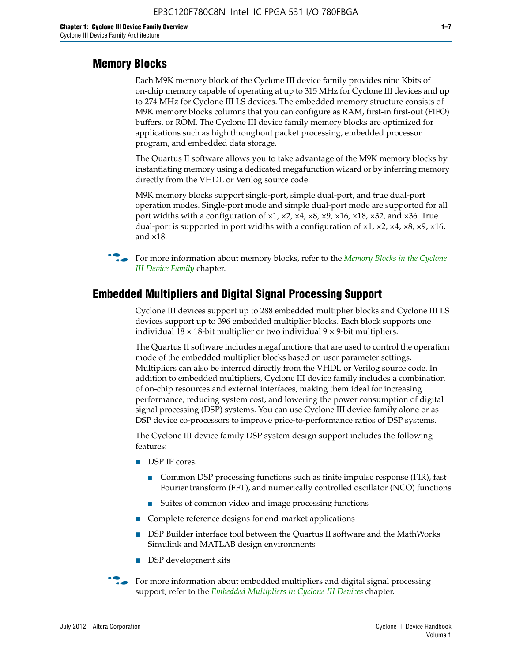#### **Memory Blocks**

Each M9K memory block of the Cyclone III device family provides nine Kbits of on-chip memory capable of operating at up to 315 MHz for Cyclone III devices and up to 274 MHz for Cyclone III LS devices. The embedded memory structure consists of M9K memory blocks columns that you can configure as RAM, first-in first-out (FIFO) buffers, or ROM. The Cyclone III device family memory blocks are optimized for applications such as high throughout packet processing, embedded processor program, and embedded data storage.

The Quartus II software allows you to take advantage of the M9K memory blocks by instantiating memory using a dedicated megafunction wizard or by inferring memory directly from the VHDL or Verilog source code.

M9K memory blocks support single-port, simple dual-port, and true dual-port operation modes. Single-port mode and simple dual-port mode are supported for all port widths with a configuration of  $\times1$ ,  $\times2$ ,  $\times4$ ,  $\times8$ ,  $\times9$ ,  $\times16$ ,  $\times18$ ,  $\times32$ , and  $\times36$ . True dual-port is supported in port widths with a configuration of  $\times$ 1,  $\times$ 2,  $\times$ 4,  $\times$ 8,  $\times$ 9,  $\times$ 16, and ×18.



**For more information about memory blocks, refer to the** *Memory Blocks in the Cyclone [III Device Family](http://www.altera.com/literature/hb/cyc3/cyc3_ciii51004.pdf)* chapter.

#### **Embedded Multipliers and Digital Signal Processing Support**

Cyclone III devices support up to 288 embedded multiplier blocks and Cyclone III LS devices support up to 396 embedded multiplier blocks. Each block supports one individual  $18 \times 18$ -bit multiplier or two individual  $9 \times 9$ -bit multipliers.

The Quartus II software includes megafunctions that are used to control the operation mode of the embedded multiplier blocks based on user parameter settings. Multipliers can also be inferred directly from the VHDL or Verilog source code. In addition to embedded multipliers, Cyclone III device family includes a combination of on-chip resources and external interfaces, making them ideal for increasing performance, reducing system cost, and lowering the power consumption of digital signal processing (DSP) systems. You can use Cyclone III device family alone or as DSP device co-processors to improve price-to-performance ratios of DSP systems.

The Cyclone III device family DSP system design support includes the following features:

- DSP IP cores:
	- Common DSP processing functions such as finite impulse response (FIR), fast Fourier transform (FFT), and numerically controlled oscillator (NCO) functions
	- Suites of common video and image processing functions
- Complete reference designs for end-market applications
- DSP Builder interface tool between the Quartus II software and the MathWorks Simulink and MATLAB design environments
- DSP development kits
- For more information about embedded multipliers and digital signal processing support, refer to the *[Embedded Multipliers in Cyclone III Devices](http://www.altera.com/literature/hb/cyc3/cyc3_ciii51005.pdf)* chapter.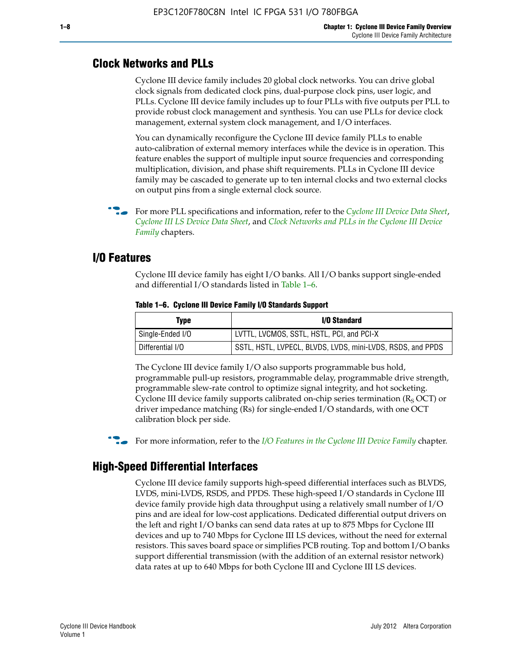#### **Clock Networks and PLLs**

Cyclone III device family includes 20 global clock networks. You can drive global clock signals from dedicated clock pins, dual-purpose clock pins, user logic, and PLLs. Cyclone III device family includes up to four PLLs with five outputs per PLL to provide robust clock management and synthesis. You can use PLLs for device clock management, external system clock management, and I/O interfaces.

You can dynamically reconfigure the Cyclone III device family PLLs to enable auto-calibration of external memory interfaces while the device is in operation. This feature enables the support of multiple input source frequencies and corresponding multiplication, division, and phase shift requirements. PLLs in Cyclone III device family may be cascaded to generate up to ten internal clocks and two external clocks on output pins from a single external clock source.

**For more PLL specifications and information, refer to the** *[Cyclone III Device Data Sheet](http://www.altera.com/literature/hb/cyc3/cyc3_ciii52001.pdf)***,** *[Cyclone III LS Device Data Sheet](http://www.altera.com/literature/hb/cyc3/cyc3_ciii52002.pdf)*, and *[Clock Networks and PLLs in the Cyclone III Device](http://www.altera.com/literature/hb/cyc3/cyc3_ciii51006.pdf)  [Family](http://www.altera.com/literature/hb/cyc3/cyc3_ciii51006.pdf)* chapters.

#### **I/O Features**

Cyclone III device family has eight I/O banks. All I/O banks support single-ended and differential I/O standards listed in Table 1–6.

| Type             | <b>I/O Standard</b>                                        |
|------------------|------------------------------------------------------------|
| Single-Ended I/O | LVTTL, LVCMOS, SSTL, HSTL, PCI, and PCI-X                  |
| Differential I/O | SSTL, HSTL, LVPECL, BLVDS, LVDS, mini-LVDS, RSDS, and PPDS |

**Table 1–6. Cyclone III Device Family I/O Standards Support** 

The Cyclone III device family I/O also supports programmable bus hold, programmable pull-up resistors, programmable delay, programmable drive strength, programmable slew-rate control to optimize signal integrity, and hot socketing. Cyclone III device family supports calibrated on-chip series termination ( $R_S$  OCT) or driver impedance matching (Rs) for single-ended I/O standards, with one OCT calibration block per side.

For more information, refer to the *[I/O Features in the Cyclone III Device Family](http://www.altera.com/literature/hb/cyc3/cyc3_ciii51007.pdf)* chapter.

#### **High-Speed Differential Interfaces**

Cyclone III device family supports high-speed differential interfaces such as BLVDS, LVDS, mini-LVDS, RSDS, and PPDS. These high-speed I/O standards in Cyclone III device family provide high data throughput using a relatively small number of I/O pins and are ideal for low-cost applications. Dedicated differential output drivers on the left and right I/O banks can send data rates at up to 875 Mbps for Cyclone III devices and up to 740 Mbps for Cyclone III LS devices, without the need for external resistors. This saves board space or simplifies PCB routing. Top and bottom I/O banks support differential transmission (with the addition of an external resistor network) data rates at up to 640 Mbps for both Cyclone III and Cyclone III LS devices.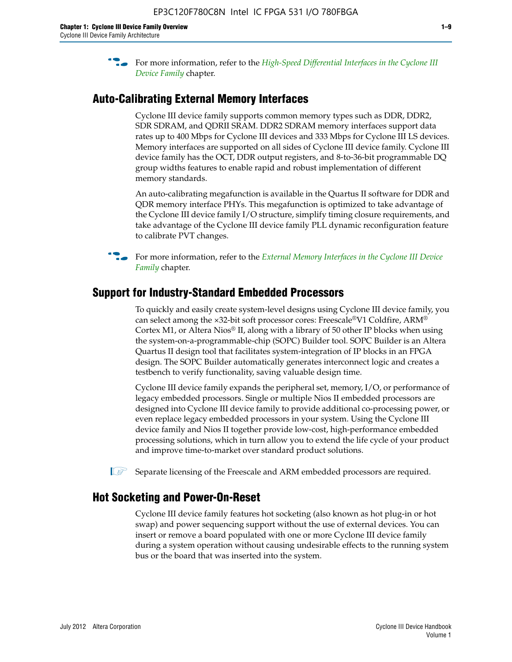**For more information, refer to the** *High-Speed Differential Interfaces in the Cyclone III* $\overline{a}$ *[Device Family](http://www.altera.com/literature/hb/cyc3/cyc3_ciii51008.pdf)* chapter.

#### **Auto-Calibrating External Memory Interfaces**

Cyclone III device family supports common memory types such as DDR, DDR2, SDR SDRAM, and QDRII SRAM. DDR2 SDRAM memory interfaces support data rates up to 400 Mbps for Cyclone III devices and 333 Mbps for Cyclone III LS devices. Memory interfaces are supported on all sides of Cyclone III device family. Cyclone III device family has the OCT, DDR output registers, and 8-to-36-bit programmable DQ group widths features to enable rapid and robust implementation of different memory standards.

An auto-calibrating megafunction is available in the Quartus II software for DDR and QDR memory interface PHYs. This megafunction is optimized to take advantage of the Cyclone III device family I/O structure, simplify timing closure requirements, and take advantage of the Cyclone III device family PLL dynamic reconfiguration feature to calibrate PVT changes.

**For more information, refer to the** *External Memory Interfaces in the Cyclone III Device* $\overline{\phantom{a}}$ *[Family](http://www.altera.com/literature/hb/cyc3/cyc3_ciii51009.pdf)* chapter.

#### **Support for Industry-Standard Embedded Processors**

To quickly and easily create system-level designs using Cyclone III device family, you can select among the ×32-bit soft processor cores: Freescale®V1 Coldfire, ARM® Cortex M1, or Altera Nios® II, along with a library of 50 other IP blocks when using the system-on-a-programmable-chip (SOPC) Builder tool. SOPC Builder is an Altera Quartus II design tool that facilitates system-integration of IP blocks in an FPGA design. The SOPC Builder automatically generates interconnect logic and creates a testbench to verify functionality, saving valuable design time.

Cyclone III device family expands the peripheral set, memory, I/O, or performance of legacy embedded processors. Single or multiple Nios II embedded processors are designed into Cyclone III device family to provide additional co-processing power, or even replace legacy embedded processors in your system. Using the Cyclone III device family and Nios II together provide low-cost, high-performance embedded processing solutions, which in turn allow you to extend the life cycle of your product and improve time-to-market over standard product solutions.

 $\mathbb{I}$  Separate licensing of the Freescale and ARM embedded processors are required.

#### **Hot Socketing and Power-On-Reset**

Cyclone III device family features hot socketing (also known as hot plug-in or hot swap) and power sequencing support without the use of external devices. You can insert or remove a board populated with one or more Cyclone III device family during a system operation without causing undesirable effects to the running system bus or the board that was inserted into the system.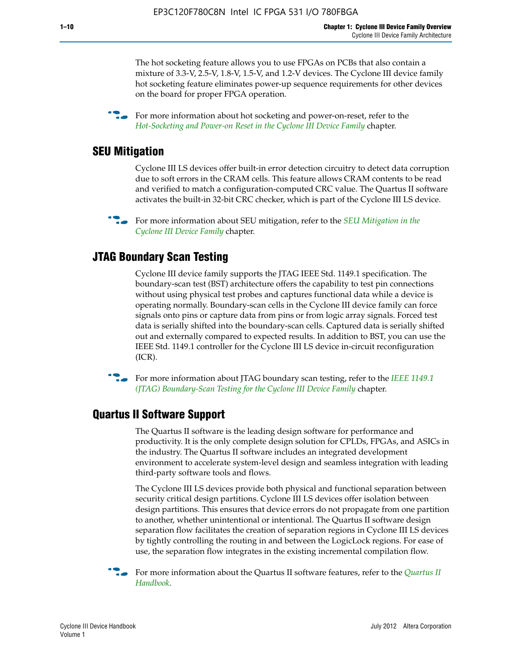The hot socketing feature allows you to use FPGAs on PCBs that also contain a mixture of 3.3-V, 2.5-V, 1.8-V, 1.5-V, and 1.2-V devices. The Cyclone III device family hot socketing feature eliminates power-up sequence requirements for other devices on the board for proper FPGA operation.

For more information about hot socketing and power-on-reset, refer to the *[Hot-Socketing and Power-on Reset in the Cyclone III Device Family](http://www.altera.com/literature/hb/cyc3/cyc3_ciii51011.pdf)* chapter.

#### **SEU Mitigation**

Cyclone III LS devices offer built-in error detection circuitry to detect data corruption due to soft errors in the CRAM cells. This feature allows CRAM contents to be read and verified to match a configuration-computed CRC value. The Quartus II software activates the built-in 32-bit CRC checker, which is part of the Cyclone III LS device.

**For more information about SEU mitigation, refer to the** *SEU Mitigation in the [Cyclone III Device Family](http://www.altera.com/literature/hb/cyc3/cyc3_ciii51013.pdf)* chapter.

#### **JTAG Boundary Scan Testing**

Cyclone III device family supports the JTAG IEEE Std. 1149.1 specification. The boundary-scan test (BST) architecture offers the capability to test pin connections without using physical test probes and captures functional data while a device is operating normally. Boundary-scan cells in the Cyclone III device family can force signals onto pins or capture data from pins or from logic array signals. Forced test data is serially shifted into the boundary-scan cells. Captured data is serially shifted out and externally compared to expected results. In addition to BST, you can use the IEEE Std. 1149.1 controller for the Cyclone III LS device in-circuit reconfiguration (ICR).

**f f**or more information about JTAG boundary scan testing, refer to the *IEEE* 1149.1 *[\(JTAG\) Boundary-Scan Testing for the Cyclone III Device Family](http://www.altera.com/literature/hb/cyc3/cyc3_ciii51014.pdf)* chapter.

#### **Quartus II Software Support**

The Quartus II software is the leading design software for performance and productivity. It is the only complete design solution for CPLDs, FPGAs, and ASICs in the industry. The Quartus II software includes an integrated development environment to accelerate system-level design and seamless integration with leading third-party software tools and flows.

The Cyclone III LS devices provide both physical and functional separation between security critical design partitions. Cyclone III LS devices offer isolation between design partitions. This ensures that device errors do not propagate from one partition to another, whether unintentional or intentional. The Quartus II software design separation flow facilitates the creation of separation regions in Cyclone III LS devices by tightly controlling the routing in and between the LogicLock regions. For ease of use, the separation flow integrates in the existing incremental compilation flow.

f For more information about the Quartus II software features, refer to the *[Quartus II](http://www.altera.com/literature/hb/qts/quartusii_handbook.pdf)  [Handbook](http://www.altera.com/literature/hb/qts/quartusii_handbook.pdf)*.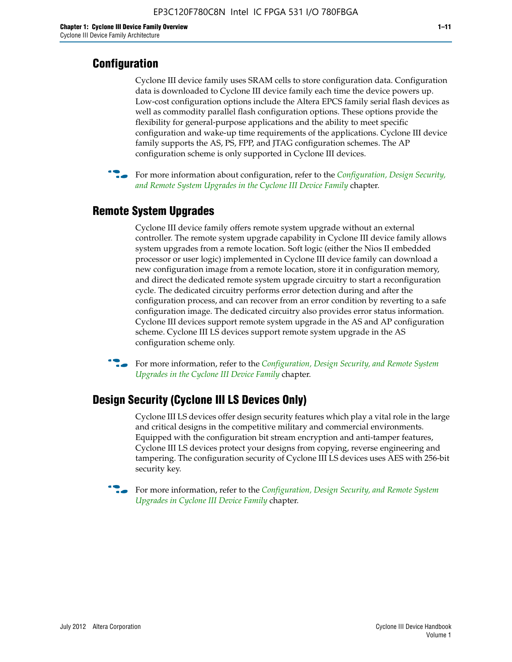#### **Configuration**

Cyclone III device family uses SRAM cells to store configuration data. Configuration data is downloaded to Cyclone III device family each time the device powers up. Low-cost configuration options include the Altera EPCS family serial flash devices as well as commodity parallel flash configuration options. These options provide the flexibility for general-purpose applications and the ability to meet specific configuration and wake-up time requirements of the applications. Cyclone III device family supports the AS, PS, FPP, and JTAG configuration schemes. The AP configuration scheme is only supported in Cyclone III devices.



f For more information about configuration, refer to the *[Configuration, Design Security,](http://www.altera.com/literature/hb/cyc3/cyc3_ciii51016.pdf)  [and Remote System Upgrades in the Cyclone III Device Family](http://www.altera.com/literature/hb/cyc3/cyc3_ciii51016.pdf)* chapter.

#### **Remote System Upgrades**

Cyclone III device family offers remote system upgrade without an external controller. The remote system upgrade capability in Cyclone III device family allows system upgrades from a remote location. Soft logic (either the Nios II embedded processor or user logic) implemented in Cyclone III device family can download a new configuration image from a remote location, store it in configuration memory, and direct the dedicated remote system upgrade circuitry to start a reconfiguration cycle. The dedicated circuitry performs error detection during and after the configuration process, and can recover from an error condition by reverting to a safe configuration image. The dedicated circuitry also provides error status information. Cyclone III devices support remote system upgrade in the AS and AP configuration scheme. Cyclone III LS devices support remote system upgrade in the AS configuration scheme only.

**For more information, refer to the** *Configuration, Design Security, and Remote System [Upgrades in the Cyclone III Device Family](http://www.altera.com/literature/hb/cyc3/cyc3_ciii51016.pdf)* chapter.

#### **Design Security (Cyclone III LS Devices Only)**

Cyclone III LS devices offer design security features which play a vital role in the large and critical designs in the competitive military and commercial environments. Equipped with the configuration bit stream encryption and anti-tamper features, Cyclone III LS devices protect your designs from copying, reverse engineering and tampering. The configuration security of Cyclone III LS devices uses AES with 256-bit security key.

f For more information, refer to the *[Configuration, Design Security, and Remote System](http://www.altera.com/literature/hb/cyc3/cyc3_ciii51016.pdf)  [Upgrades in Cyclone III Device Family](http://www.altera.com/literature/hb/cyc3/cyc3_ciii51016.pdf)* chapter.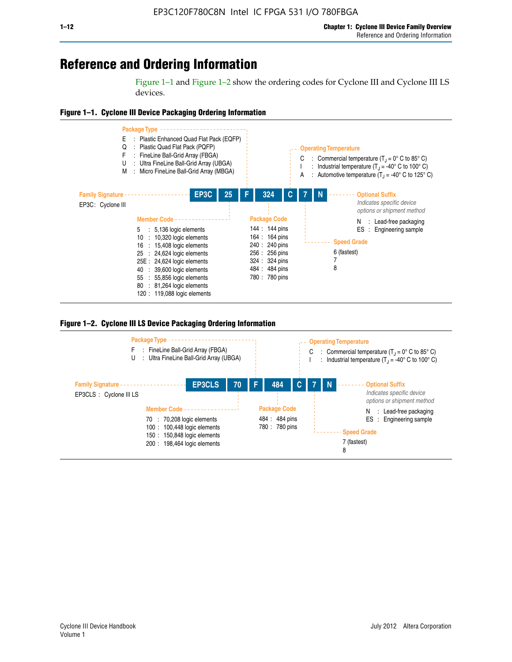# **Reference and Ordering Information**

Figure 1–1 and Figure 1–2 show the ordering codes for Cyclone III and Cyclone III LS devices.







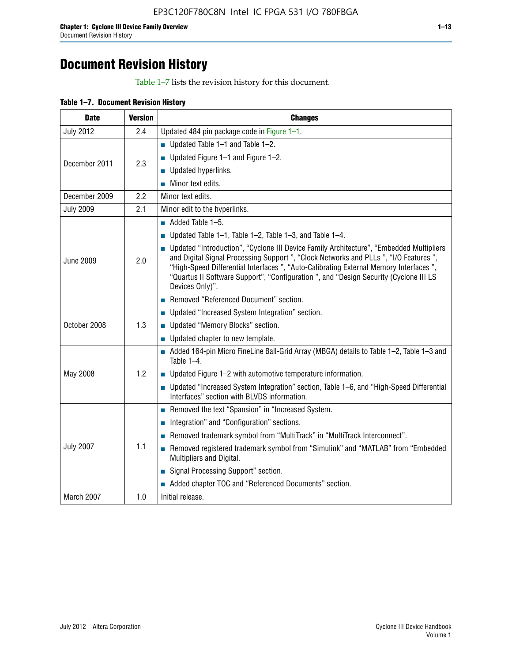# **Document Revision History**

Table 1–7 lists the revision history for this document.

|  | Table 1-7. Document Revision History |  |  |  |
|--|--------------------------------------|--|--|--|
|--|--------------------------------------|--|--|--|

| <b>Date</b>      | <b>Version</b> | <b>Changes</b>                                                                                                                                                                                                                                                                                                                                                                          |  |  |  |  |
|------------------|----------------|-----------------------------------------------------------------------------------------------------------------------------------------------------------------------------------------------------------------------------------------------------------------------------------------------------------------------------------------------------------------------------------------|--|--|--|--|
| <b>July 2012</b> | 2.4            | Updated 484 pin package code in Figure 1-1.                                                                                                                                                                                                                                                                                                                                             |  |  |  |  |
|                  |                | ■ Updated Table $1-1$ and Table $1-2$ .                                                                                                                                                                                                                                                                                                                                                 |  |  |  |  |
| December 2011    | 2.3            | ■ Updated Figure $1-1$ and Figure $1-2$ .                                                                                                                                                                                                                                                                                                                                               |  |  |  |  |
|                  |                | Updated hyperlinks.                                                                                                                                                                                                                                                                                                                                                                     |  |  |  |  |
|                  |                | Minor text edits.                                                                                                                                                                                                                                                                                                                                                                       |  |  |  |  |
| December 2009    | 2.2            | Minor text edits.                                                                                                                                                                                                                                                                                                                                                                       |  |  |  |  |
| <b>July 2009</b> | 2.1            | Minor edit to the hyperlinks.                                                                                                                                                                                                                                                                                                                                                           |  |  |  |  |
|                  |                | $\blacksquare$ Added Table 1-5.                                                                                                                                                                                                                                                                                                                                                         |  |  |  |  |
|                  |                | ■ Updated Table 1–1, Table 1–2, Table 1–3, and Table 1–4.                                                                                                                                                                                                                                                                                                                               |  |  |  |  |
| <b>June 2009</b> | 2.0            | • Updated "Introduction", "Cyclone III Device Family Architecture", "Embedded Multipliers<br>and Digital Signal Processing Support ", "Clock Networks and PLLs ", "I/O Features ",<br>"High-Speed Differential Interfaces ", "Auto-Calibrating External Memory Interfaces",<br>"Quartus II Software Support", "Configuration ", and "Design Security (Cyclone III LS<br>Devices Only)". |  |  |  |  |
|                  |                | Removed "Referenced Document" section.                                                                                                                                                                                                                                                                                                                                                  |  |  |  |  |
|                  |                | • Updated "Increased System Integration" section.                                                                                                                                                                                                                                                                                                                                       |  |  |  |  |
| October 2008     | 1.3            | Updated "Memory Blocks" section.                                                                                                                                                                                                                                                                                                                                                        |  |  |  |  |
|                  |                | • Updated chapter to new template.                                                                                                                                                                                                                                                                                                                                                      |  |  |  |  |
|                  |                | Added 164-pin Micro FineLine Ball-Grid Array (MBGA) details to Table 1-2, Table 1-3 and<br>Table $1-4$ .                                                                                                                                                                                                                                                                                |  |  |  |  |
| May 2008         | 1.2            | $\blacksquare$ Updated Figure 1-2 with automotive temperature information.                                                                                                                                                                                                                                                                                                              |  |  |  |  |
|                  |                | • Updated "Increased System Integration" section, Table 1-6, and "High-Speed Differential<br>Interfaces" section with BLVDS information.                                                                                                                                                                                                                                                |  |  |  |  |
|                  |                | Removed the text "Spansion" in "Increased System.                                                                                                                                                                                                                                                                                                                                       |  |  |  |  |
|                  |                | Integration" and "Configuration" sections.                                                                                                                                                                                                                                                                                                                                              |  |  |  |  |
| <b>July 2007</b> |                | Removed trademark symbol from "MultiTrack" in "MultiTrack Interconnect".                                                                                                                                                                                                                                                                                                                |  |  |  |  |
|                  | 1.1            | Removed registered trademark symbol from "Simulink" and "MATLAB" from "Embedded<br>Multipliers and Digital.                                                                                                                                                                                                                                                                             |  |  |  |  |
|                  |                | Signal Processing Support" section.                                                                                                                                                                                                                                                                                                                                                     |  |  |  |  |
|                  |                | Added chapter TOC and "Referenced Documents" section.                                                                                                                                                                                                                                                                                                                                   |  |  |  |  |
| March 2007       | 1.0            | Initial release.                                                                                                                                                                                                                                                                                                                                                                        |  |  |  |  |